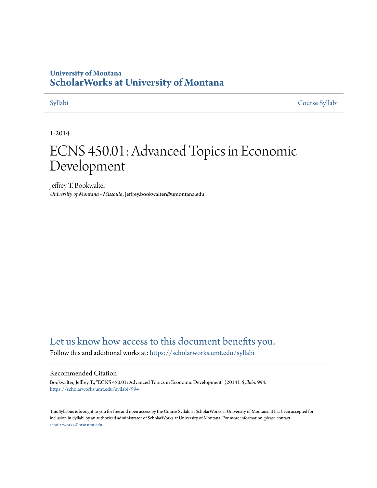## **University of Montana [ScholarWorks at University of Montana](https://scholarworks.umt.edu?utm_source=scholarworks.umt.edu%2Fsyllabi%2F994&utm_medium=PDF&utm_campaign=PDFCoverPages)**

[Syllabi](https://scholarworks.umt.edu/syllabi?utm_source=scholarworks.umt.edu%2Fsyllabi%2F994&utm_medium=PDF&utm_campaign=PDFCoverPages) [Course Syllabi](https://scholarworks.umt.edu/course_syllabi?utm_source=scholarworks.umt.edu%2Fsyllabi%2F994&utm_medium=PDF&utm_campaign=PDFCoverPages)

### 1-2014

# ECNS 450.01: Advanced Topics in Economic Development

Jeffrey T. Bookwalter *University of Montana - Missoula*, jeffrey.bookwalter@umontana.edu

# [Let us know how access to this document benefits you.](https://goo.gl/forms/s2rGfXOLzz71qgsB2)

Follow this and additional works at: [https://scholarworks.umt.edu/syllabi](https://scholarworks.umt.edu/syllabi?utm_source=scholarworks.umt.edu%2Fsyllabi%2F994&utm_medium=PDF&utm_campaign=PDFCoverPages)

#### Recommended Citation

Bookwalter, Jeffrey T., "ECNS 450.01: Advanced Topics in Economic Development" (2014). *Syllabi*. 994. [https://scholarworks.umt.edu/syllabi/994](https://scholarworks.umt.edu/syllabi/994?utm_source=scholarworks.umt.edu%2Fsyllabi%2F994&utm_medium=PDF&utm_campaign=PDFCoverPages)

This Syllabus is brought to you for free and open access by the Course Syllabi at ScholarWorks at University of Montana. It has been accepted for inclusion in Syllabi by an authorized administrator of ScholarWorks at University of Montana. For more information, please contact [scholarworks@mso.umt.edu](mailto:scholarworks@mso.umt.edu).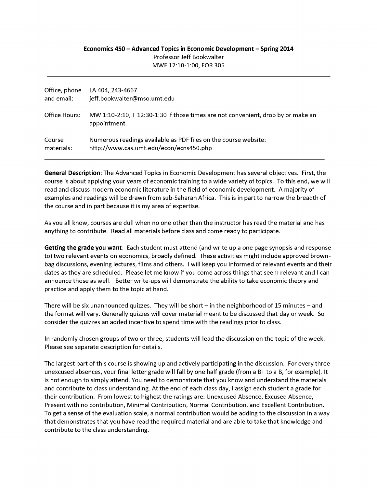#### **Economics 450 - Advanced Topics in Economic Development - Spring 2014** Professor Jeff Bookwalter MWF 12:10-1:00, FOR 305

| Office, phone | LA 404, 243-4667                                                                                 |
|---------------|--------------------------------------------------------------------------------------------------|
| and email:    | jeff.bookwalter@mso.umt.edu                                                                      |
| Office Hours: | MW 1:10-2:10, T 12:30-1:30 If those times are not convenient, drop by or make an<br>appointment. |
| Course        | Numerous readings available as PDF files on the course website:                                  |
| materials:    | http://www.cas.umt.edu/econ/ecns450.php                                                          |

**General Description:** The Advanced Topics in Economic Development has several objectives. First, the course is about applying your years of economic training to a wide variety of topics. To this end, we will read and discuss modern economic literature in the field of economic development. A majority of examples and readings will be drawn from sub-Saharan Africa. This is in part to narrow the breadth of the course and in part because it is my area of expertise.

As you all know, courses are dull when no one other than the instructor has read the material and has anything to contribute. Read all materials before class and come ready to participate.

Getting the grade you want: Each student must attend (and write up a one page synopsis and response to) two relevant events on economics, broadly defined. These activities might include approved brownbag discussions, evening lectures, films and others. I will keep you informed of relevant events and their dates as they are scheduled. Please let me know if you come across things that seem relevant and I can announce those as well. Better write-ups will demonstrate the ability to take economic theory and practice and apply them to the topic at hand.

There will be six unannounced quizzes. They will be short  $-$  in the neighborhood of 15 minutes  $-$  and the form at will vary. Generally quizzes will cover material meant to be discussed that day or week. So consider the quizzes an added incentive to spend time with the readings prior to class.

In randomly chosen groups of two or three, students will lead the discussion on the topic of the week. Please see separate description for details.

The largest part of this course is showing up and actively participating in the discussion. For every three unexcused absences, your final letter grade will fall by one half grade (from a B+ to a B, for example). It is not enough to simply attend. You need to demonstrate that you know and understand the materials and contribute to class understanding. At the end of each class day, I assign each student a grade for their contribution. From lowest to highest the ratings are: Unexcused Absence, Excused Absence, Present with no contribution, Minimal Contribution, Normal Contribution, and Excellent Contribution. To get a sense of the evaluation scale, a normal contribution would be adding to the discussion in a way that demonstrates that you have read the required material and are able to take that knowledge and contribute to the class understanding.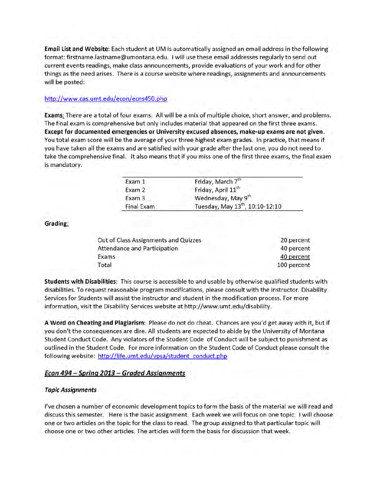**Email List and Website:** Each student at UM is automatically assigned an email address in the following format: firstname.lastname@umontana.edu. I will use these email addresses regularly to send out current events readings, make class announcements, provide evaluations of your work and for other things as the need arises. There is a course website where readings, assignments and announcements will be posted:

#### http://www.cas.umt.edu/econ/ecns450.php

**Exams:** There are a total of four exams. All will be a mix of multiple choice, short answer, and problems. The final exam is comprehensive but only includes material that appeared on the first three exams. **Except for documented emergencies or University excused absences, make-up exams are not given.** You total exam score will be the average of your three highest exam grades. In practice, that means if you have taken all the exams and are satisfied with your grade after the last one, you do not need to take the comprehensive final. It also means that if you miss one of the first three exams, the final exam is mandatory.

| Friday, March 7th                           |
|---------------------------------------------|
| Friday, April 11 <sup>th</sup>              |
| Wednesday, May 9th                          |
| Tuesday, May 13 <sup>th</sup> , 10:10-12:10 |
|                                             |

**Grading:**

| Out of Class Assignments and Quizzes | 20 percent  |
|--------------------------------------|-------------|
| Attendance and Participation         | 40 percent  |
| Exams                                | 40 percent  |
| Total                                | 100 percent |
|                                      |             |

**Students with Disabilities:** This course is accessible to and usable by otherwise qualified students with disabilities. To request reasonable program modifications, please consult w ith the instructor. Disability Services for Students will assist the instructor and student in the modification process. For more information, visit the Disability Services website at http://www.umt.edu/disability.

A Word on Cheating and Plagiarism: Please do not do cheat. Chances are you'd get away with it, but if you don't the consequences are dire. All students are expected to abide by the University of Montana Student Conduct Code. Any violators of the Student Code of Conduct will be subject to punishment as outlined in the Student Code. For more inform ation on the Student Code of Conduct please consult the following website: http://life.umt.edu/vpsa/student\_conduct.php

#### *Econ 494 - Spring 2013 - G raded Assignments*

#### *Topic Assignments*

I've chosen a number of economic development topics to form the basis of the material we will read and discuss this semester. Flere is the basic assignment. Each week we will focus on one topic. I will choose one or two articles on the topic for the class to read. The group assigned to that particular topic will choose one or two other articles. The articles will form the basis for discussion that week.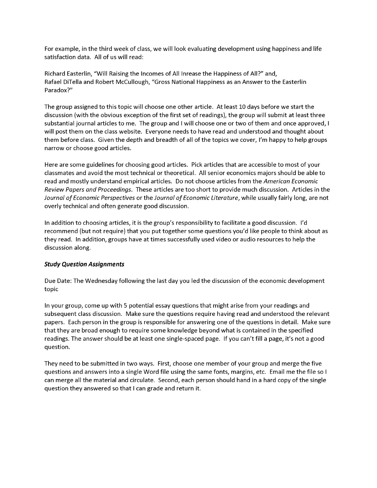For example, in the third week of class, we will look evaluating development using happiness and life satisfaction data. All of us will read:

Richard Easterlin, "Will Raising the Incomes of All Inrease the Happiness of All?" and, Rafael DiTella and Robert McCullough, "Gross National Happiness as an Answer to the Easterlin Paradox?"

The group assigned to this topic will choose one other article. At least 10 days before we start the discussion (with the obvious exception of the first set of readings), the group will submit at least three substantial journal articles to me. The group and I will choose one or two of them and once approved, I will post them on the class website. Everyone needs to have read and understood and thought about them before class. Given the depth and breadth of all of the topics we cover, I'm happy to help groups narrow or choose good articles.

Here are some guidelines for choosing good articles. Pick articles that are accessible to most of your classmates and avoid the most technical or theoretical. All senior economics majors should be able to read and mostly understand empirical articles. Do not choose articles from the *American Economic Review Papers and Proceedings.* These articles are too short to provide much discussion. Articles in the *Journal of Economic Perspectives* or the *Journal of Economic Literature*, while usually fairly long, are not overly technical and often generate good discussion.

In addition to choosing articles, it is the group's responsibility to facilitate a good discussion. I'd recommend (but not require) that you put together some questions you'd like people to think about as they read. In addition, groups have at times successfully used video or audio resources to help the discussion along.

#### *Study Question Assignments*

Due Date: The Wednesday following the last day you led the discussion of the economic development topic

In your group, come up with 5 potential essay questions that might arise from your readings and subsequent class discussion. Make sure the questions require having read and understood the relevant papers. Each person in the group is responsible for answering one of the questions in detail. Make sure that they are broad enough to require some knowledge beyond what is contained in the specified readings. The answer should be at least one single-spaced page. If you can't fill a page, it's not a good question.

They need to be submitted in two ways. First, choose one member of your group and merge the five questions and answers into a single Word file using the same fonts, margins, etc. Email me the file so I can merge all the material and circulate. Second, each person should hand in a hard copy of the single question they answered so that I can grade and return it.